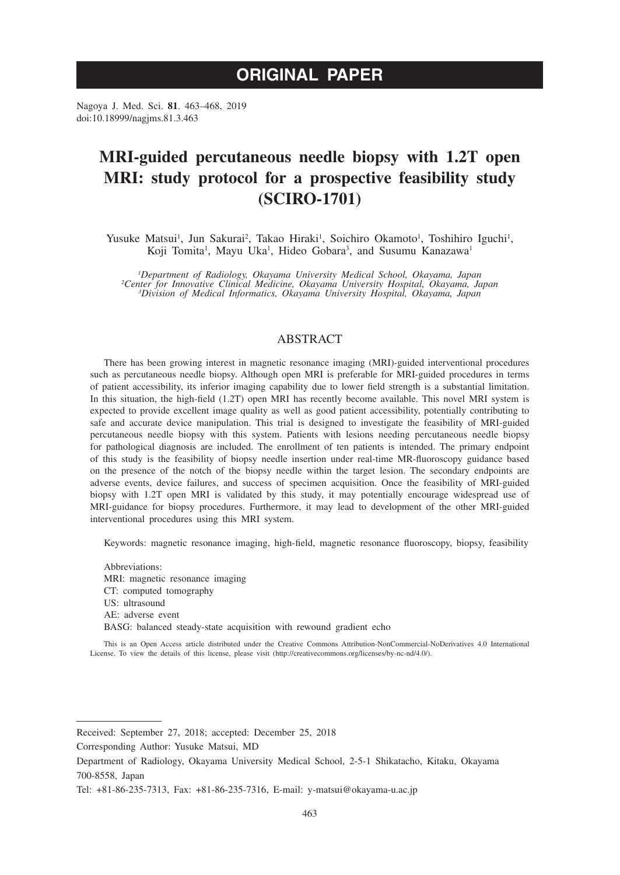# **ORIGINAL PAPER**

Nagoya J. Med. Sci. **81**. 463–468, 2019 doi:10.18999/nagjms.81.3.463

# **MRI-guided percutaneous needle biopsy with 1.2T open MRI: study protocol for a prospective feasibility study (SCIRO-1701)**

Yusuke Matsui<sup>1</sup>, Jun Sakurai<sup>2</sup>, Takao Hiraki<sup>1</sup>, Soichiro Okamoto<sup>1</sup>, Toshihiro Iguchi<sup>1</sup>, Koji Tomita<sup>1</sup>, Mayu Uka<sup>1</sup>, Hideo Gobara<sup>3</sup>, and Susumu Kanazawa<sup>1</sup>

*1 Department of Radiology, Okayama University Medical School, Okayama, Japan <sup>2</sup> Center for Innovative Clinical Medicine, Okayama University Hospital, Okayama, Japan <sup>3</sup> Division of Medical Informatics, Okayama University Hospital, Okayama, Japan*

# ABSTRACT

There has been growing interest in magnetic resonance imaging (MRI)-guided interventional procedures such as percutaneous needle biopsy. Although open MRI is preferable for MRI-guided procedures in terms of patient accessibility, its inferior imaging capability due to lower field strength is a substantial limitation. In this situation, the high-field (1.2T) open MRI has recently become available. This novel MRI system is expected to provide excellent image quality as well as good patient accessibility, potentially contributing to safe and accurate device manipulation. This trial is designed to investigate the feasibility of MRI-guided percutaneous needle biopsy with this system. Patients with lesions needing percutaneous needle biopsy for pathological diagnosis are included. The enrollment of ten patients is intended. The primary endpoint of this study is the feasibility of biopsy needle insertion under real-time MR-fluoroscopy guidance based on the presence of the notch of the biopsy needle within the target lesion. The secondary endpoints are adverse events, device failures, and success of specimen acquisition. Once the feasibility of MRI-guided biopsy with 1.2T open MRI is validated by this study, it may potentially encourage widespread use of MRI-guidance for biopsy procedures. Furthermore, it may lead to development of the other MRI-guided interventional procedures using this MRI system.

Keywords: magnetic resonance imaging, high-field, magnetic resonance fluoroscopy, biopsy, feasibility

Abbreviations: MRI: magnetic resonance imaging CT: computed tomography US: ultrasound AE: adverse event BASG: balanced steady-state acquisition with rewound gradient echo

Corresponding Author: Yusuke Matsui, MD

This is an Open Access article distributed under the Creative Commons Attribution-NonCommercial-NoDerivatives 4.0 International License. To view the details of this license, please visit (http://creativecommons.org/licenses/by-nc-nd/4.0/).

Received: September 27, 2018; accepted: December 25, 2018

Department of Radiology, Okayama University Medical School, 2-5-1 Shikatacho, Kitaku, Okayama 700-8558, Japan

Tel: +81-86-235-7313, Fax: +81-86-235-7316, E-mail: y-matsui@okayama-u.ac.jp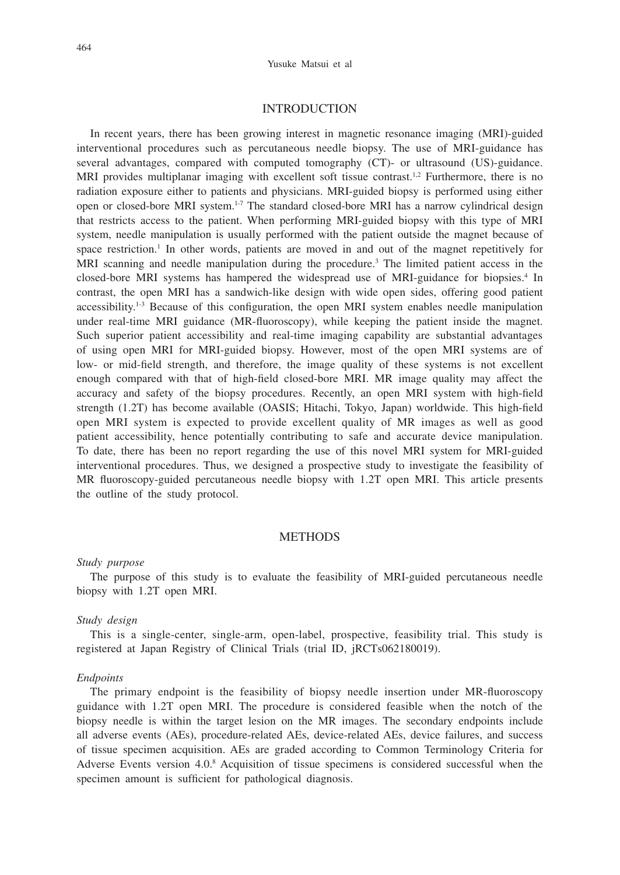## INTRODUCTION

In recent years, there has been growing interest in magnetic resonance imaging (MRI)-guided interventional procedures such as percutaneous needle biopsy. The use of MRI-guidance has several advantages, compared with computed tomography (CT)- or ultrasound (US)-guidance. MRI provides multiplanar imaging with excellent soft tissue contrast.<sup>1,2</sup> Furthermore, there is no radiation exposure either to patients and physicians. MRI-guided biopsy is performed using either open or closed-bore MRI system.1-7 The standard closed-bore MRI has a narrow cylindrical design that restricts access to the patient. When performing MRI-guided biopsy with this type of MRI system, needle manipulation is usually performed with the patient outside the magnet because of space restriction.<sup>1</sup> In other words, patients are moved in and out of the magnet repetitively for MRI scanning and needle manipulation during the procedure.<sup>3</sup> The limited patient access in the closed-bore MRI systems has hampered the widespread use of MRI-guidance for biopsies.4 In contrast, the open MRI has a sandwich-like design with wide open sides, offering good patient  $accessibility<sup>1-3</sup>$  Because of this configuration, the open MRI system enables needle manipulation under real-time MRI guidance (MR-fluoroscopy), while keeping the patient inside the magnet. Such superior patient accessibility and real-time imaging capability are substantial advantages of using open MRI for MRI-guided biopsy. However, most of the open MRI systems are of low- or mid-field strength, and therefore, the image quality of these systems is not excellent enough compared with that of high-field closed-bore MRI. MR image quality may affect the accuracy and safety of the biopsy procedures. Recently, an open MRI system with high-field strength (1.2T) has become available (OASIS; Hitachi, Tokyo, Japan) worldwide. This high-field open MRI system is expected to provide excellent quality of MR images as well as good patient accessibility, hence potentially contributing to safe and accurate device manipulation. To date, there has been no report regarding the use of this novel MRI system for MRI-guided interventional procedures. Thus, we designed a prospective study to investigate the feasibility of MR fluoroscopy-guided percutaneous needle biopsy with 1.2T open MRI. This article presents the outline of the study protocol.

### **METHODS**

#### *Study purpose*

The purpose of this study is to evaluate the feasibility of MRI-guided percutaneous needle biopsy with 1.2T open MRI.

#### *Study design*

This is a single-center, single-arm, open-label, prospective, feasibility trial. This study is registered at Japan Registry of Clinical Trials (trial ID, jRCTs062180019).

#### *Endpoints*

The primary endpoint is the feasibility of biopsy needle insertion under MR-fluoroscopy guidance with 1.2T open MRI. The procedure is considered feasible when the notch of the biopsy needle is within the target lesion on the MR images. The secondary endpoints include all adverse events (AEs), procedure-related AEs, device-related AEs, device failures, and success of tissue specimen acquisition. AEs are graded according to Common Terminology Criteria for Adverse Events version 4.0.8 Acquisition of tissue specimens is considered successful when the specimen amount is sufficient for pathological diagnosis.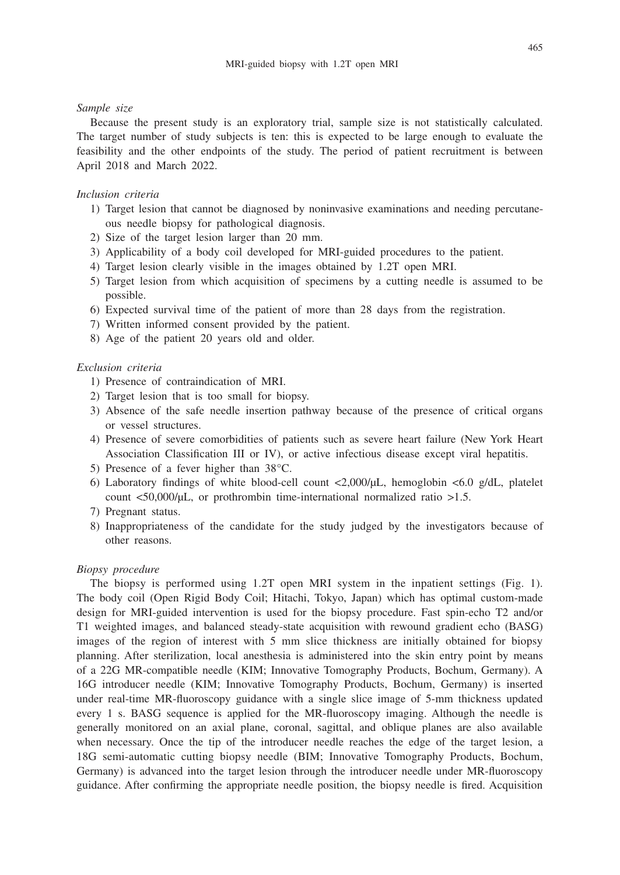### *Sample size*

Because the present study is an exploratory trial, sample size is not statistically calculated. The target number of study subjects is ten: this is expected to be large enough to evaluate the feasibility and the other endpoints of the study. The period of patient recruitment is between April 2018 and March 2022.

#### *Inclusion criteria*

- 1) Target lesion that cannot be diagnosed by noninvasive examinations and needing percutaneous needle biopsy for pathological diagnosis.
- 2) Size of the target lesion larger than 20 mm.
- 3) Applicability of a body coil developed for MRI-guided procedures to the patient.
- 4) Target lesion clearly visible in the images obtained by 1.2T open MRI.
- 5) Target lesion from which acquisition of specimens by a cutting needle is assumed to be possible.
- 6) Expected survival time of the patient of more than 28 days from the registration.
- 7) Written informed consent provided by the patient.
- 8) Age of the patient 20 years old and older.

## *Exclusion criteria*

- 1) Presence of contraindication of MRI.
- 2) Target lesion that is too small for biopsy.
- 3) Absence of the safe needle insertion pathway because of the presence of critical organs or vessel structures.
- 4) Presence of severe comorbidities of patients such as severe heart failure (New York Heart Association Classification III or IV), or active infectious disease except viral hepatitis.
- 5) Presence of a fever higher than 38°C.
- 6) Laboratory findings of white blood-cell count  $\langle 2,000/\mu L$ , hemoglobin  $\langle 6,0 \rangle$  g/dL, platelet count <50,000/µL, or prothrombin time-international normalized ratio >1.5.
- 7) Pregnant status.
- 8) Inappropriateness of the candidate for the study judged by the investigators because of other reasons.

## *Biopsy procedure*

The biopsy is performed using 1.2T open MRI system in the inpatient settings (Fig. 1). The body coil (Open Rigid Body Coil; Hitachi, Tokyo, Japan) which has optimal custom-made design for MRI-guided intervention is used for the biopsy procedure. Fast spin-echo T2 and/or T1 weighted images, and balanced steady-state acquisition with rewound gradient echo (BASG) images of the region of interest with 5 mm slice thickness are initially obtained for biopsy planning. After sterilization, local anesthesia is administered into the skin entry point by means of a 22G MR-compatible needle (KIM; Innovative Tomography Products, Bochum, Germany). A 16G introducer needle (KIM; Innovative Tomography Products, Bochum, Germany) is inserted under real-time MR-fluoroscopy guidance with a single slice image of 5-mm thickness updated every 1 s. BASG sequence is applied for the MR-fluoroscopy imaging. Although the needle is generally monitored on an axial plane, coronal, sagittal, and oblique planes are also available when necessary. Once the tip of the introducer needle reaches the edge of the target lesion, a 18G semi-automatic cutting biopsy needle (BIM; Innovative Tomography Products, Bochum, Germany) is advanced into the target lesion through the introducer needle under MR-fluoroscopy guidance. After confirming the appropriate needle position, the biopsy needle is fired. Acquisition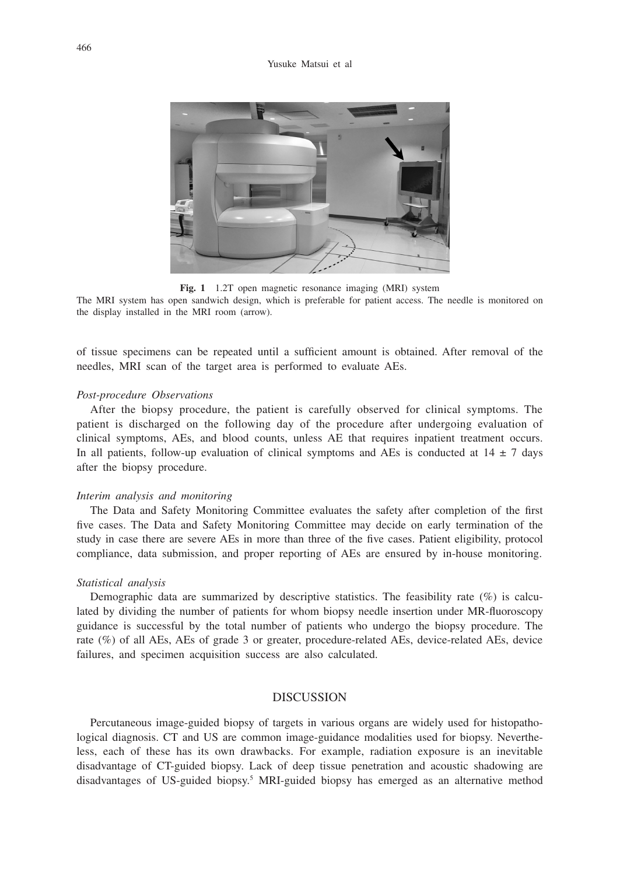

**Fig. 1** 1.2T open magnetic resonance imaging (MRI) system

The MRI system has open sandwich design, which is preferable for patient access. The needle is monitored on the display installed in the MRI room (arrow).

of tissue specimens can be repeated until a sufficient amount is obtained. After removal of the needles, MRI scan of the target area is performed to evaluate AEs.

#### *Post-procedure Observations*

After the biopsy procedure, the patient is carefully observed for clinical symptoms. The patient is discharged on the following day of the procedure after undergoing evaluation of clinical symptoms, AEs, and blood counts, unless AE that requires inpatient treatment occurs. In all patients, follow-up evaluation of clinical symptoms and AEs is conducted at  $14 \pm 7$  days after the biopsy procedure.

## *Interim analysis and monitoring*

The Data and Safety Monitoring Committee evaluates the safety after completion of the first five cases. The Data and Safety Monitoring Committee may decide on early termination of the study in case there are severe AEs in more than three of the five cases. Patient eligibility, protocol compliance, data submission, and proper reporting of AEs are ensured by in-house monitoring.

#### *Statistical analysis*

Demographic data are summarized by descriptive statistics. The feasibility rate (%) is calculated by dividing the number of patients for whom biopsy needle insertion under MR-fluoroscopy guidance is successful by the total number of patients who undergo the biopsy procedure. The rate (%) of all AEs, AEs of grade 3 or greater, procedure-related AEs, device-related AEs, device failures, and specimen acquisition success are also calculated.

# **DISCUSSION**

Percutaneous image-guided biopsy of targets in various organs are widely used for histopathological diagnosis. CT and US are common image-guidance modalities used for biopsy. Nevertheless, each of these has its own drawbacks. For example, radiation exposure is an inevitable disadvantage of CT-guided biopsy. Lack of deep tissue penetration and acoustic shadowing are disadvantages of US-guided biopsy.<sup>5</sup> MRI-guided biopsy has emerged as an alternative method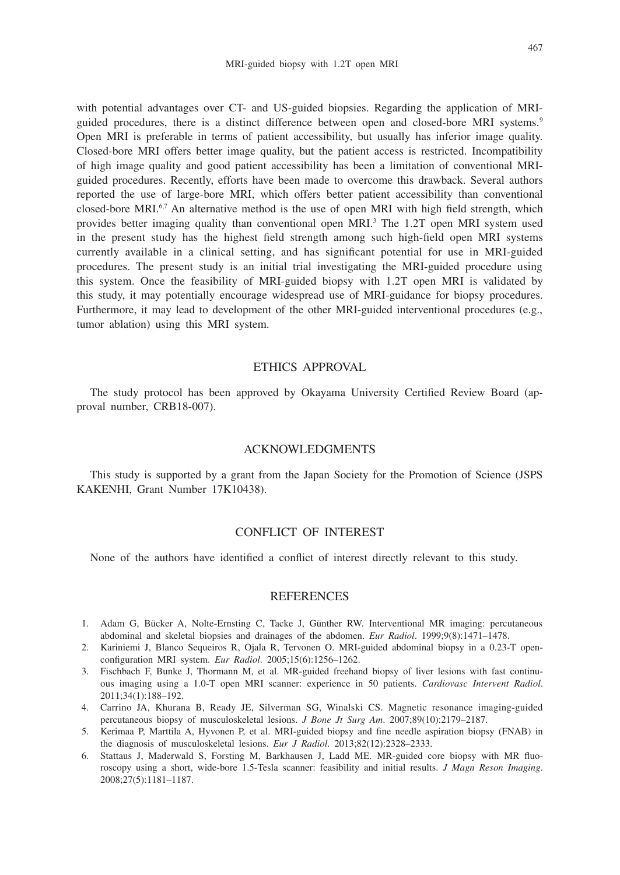with potential advantages over CT- and US-guided biopsies. Regarding the application of MRIguided procedures, there is a distinct difference between open and closed-bore MRI systems.9 Open MRI is preferable in terms of patient accessibility, but usually has inferior image quality. Closed-bore MRI offers better image quality, but the patient access is restricted. Incompatibility of high image quality and good patient accessibility has been a limitation of conventional MRIguided procedures. Recently, efforts have been made to overcome this drawback. Several authors reported the use of large-bore MRI, which offers better patient accessibility than conventional closed-bore MRI.6,7 An alternative method is the use of open MRI with high field strength, which provides better imaging quality than conventional open MRI.<sup>3</sup> The 1.2T open MRI system used in the present study has the highest field strength among such high-field open MRI systems currently available in a clinical setting, and has significant potential for use in MRI-guided procedures. The present study is an initial trial investigating the MRI-guided procedure using this system. Once the feasibility of MRI-guided biopsy with 1.2T open MRI is validated by this study, it may potentially encourage widespread use of MRI-guidance for biopsy procedures. Furthermore, it may lead to development of the other MRI-guided interventional procedures (e.g., tumor ablation) using this MRI system.

# ETHICS APPROVAL

The study protocol has been approved by Okayama University Certified Review Board (approval number, CRB18-007).

### ACKNOWLEDGMENTS

This study is supported by a grant from the Japan Society for the Promotion of Science (JSPS KAKENHI, Grant Number 17K10438).

# CONFLICT OF INTEREST

None of the authors have identified a conflict of interest directly relevant to this study.

# **REFERENCES**

- 1. Adam G, Bücker A, Nolte-Ernsting C, Tacke J, Günther RW. Interventional MR imaging: percutaneous abdominal and skeletal biopsies and drainages of the abdomen. *Eur Radiol*. 1999;9(8):1471–1478.
- 2. Kariniemi J, Blanco Sequeiros R, Ojala R, Tervonen O. MRI-guided abdominal biopsy in a 0.23-T openconfiguration MRI system. *Eur Radiol*. 2005;15(6):1256–1262.
- 3. Fischbach F, Bunke J, Thormann M, et al. MR-guided freehand biopsy of liver lesions with fast continuous imaging using a 1.0-T open MRI scanner: experience in 50 patients. *Cardiovasc Intervent Radiol*. 2011;34(1):188–192.
- 4. Carrino JA, Khurana B, Ready JE, Silverman SG, Winalski CS. Magnetic resonance imaging-guided percutaneous biopsy of musculoskeletal lesions. *J Bone Jt Surg Am*. 2007;89(10):2179–2187.
- 5. Kerimaa P, Marttila A, Hyvonen P, et al. MRI-guided biopsy and fine needle aspiration biopsy (FNAB) in the diagnosis of musculoskeletal lesions. *Eur J Radiol*. 2013;82(12):2328–2333.
- 6. Stattaus J, Maderwald S, Forsting M, Barkhausen J, Ladd ME. MR-guided core biopsy with MR fluoroscopy using a short, wide-bore 1.5-Tesla scanner: feasibility and initial results. *J Magn Reson Imaging*. 2008;27(5):1181–1187.